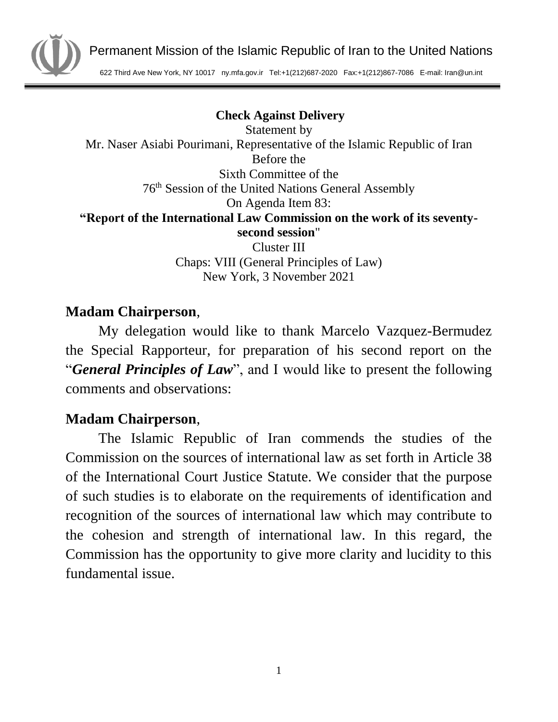

Permanent Mission of the Islamic Republic of Iran to the United Nations

622 Third Ave New York, NY 10017 ny.mfa.gov.ir Tel:+1(212)687-2020 Fax:+1(212)867-7086 E-mail: Iran@un.int

**Check Against Delivery**

Statement by Mr. Naser Asiabi Pourimani, Representative of the Islamic Republic of Iran Before the Sixth Committee of the 76th Session of the United Nations General Assembly On Agenda Item 83: **"Report of the International Law Commission on the work of its seventysecond session**" Cluster III

Chaps: VIII (General Principles of Law) New York, 3 November 2021

## **Madam Chairperson**,

My delegation would like to thank Marcelo Vazquez-Bermudez the Special Rapporteur, for preparation of his second report on the "*General Principles of Law*", and I would like to present the following comments and observations:

## **Madam Chairperson**,

The Islamic Republic of Iran commends the studies of the Commission on the sources of international law as set forth in Article 38 of the International Court Justice Statute. We consider that the purpose of such studies is to elaborate on the requirements of identification and recognition of the sources of international law which may contribute to the cohesion and strength of international law. In this regard, the Commission has the opportunity to give more clarity and lucidity to this fundamental issue.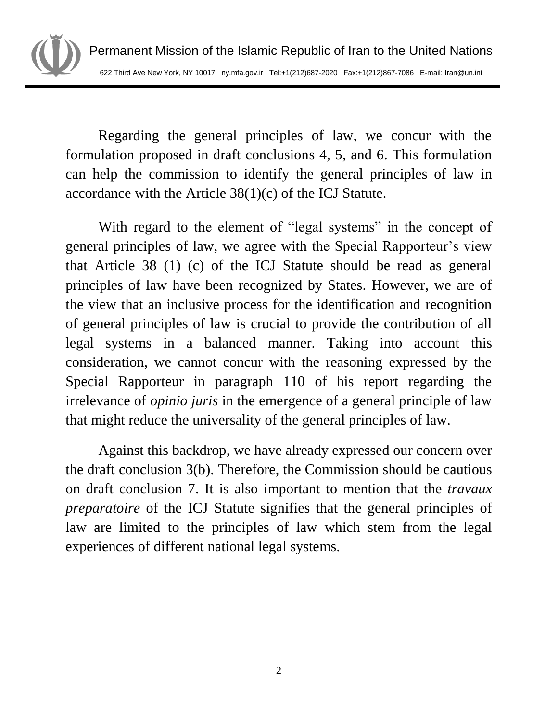

Regarding the general principles of law, we concur with the formulation proposed in draft conclusions 4, 5, and 6. This formulation can help the commission to identify the general principles of law in accordance with the Article 38(1)(c) of the ICJ Statute.

With regard to the element of "legal systems" in the concept of general principles of law, we agree with the Special Rapporteur's view that Article 38 (1) (c) of the ICJ Statute should be read as general principles of law have been recognized by States. However, we are of the view that an inclusive process for the identification and recognition of general principles of law is crucial to provide the contribution of all legal systems in a balanced manner. Taking into account this consideration, we cannot concur with the reasoning expressed by the Special Rapporteur in paragraph 110 of his report regarding the irrelevance of *opinio juris* in the emergence of a general principle of law that might reduce the universality of the general principles of law.

Against this backdrop, we have already expressed our concern over the draft conclusion 3(b). Therefore, the Commission should be cautious on draft conclusion 7. It is also important to mention that the *travaux preparatoire* of the ICJ Statute signifies that the general principles of law are limited to the principles of law which stem from the legal experiences of different national legal systems.